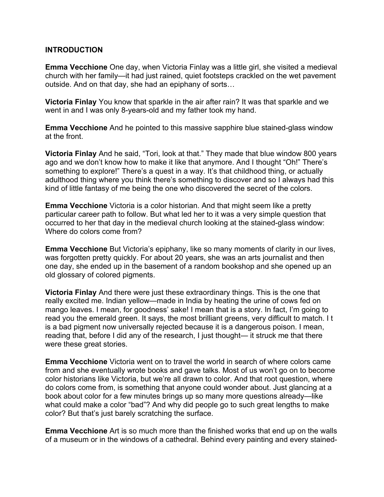#### **INTRODUCTION**

**Emma Vecchione** One day, when Victoria Finlay was a little girl, she visited a medieval church with her family—it had just rained, quiet footsteps crackled on the wet pavement outside. And on that day, she had an epiphany of sorts…

**Victoria Finlay** You know that sparkle in the air after rain? It was that sparkle and we went in and I was only 8-years-old and my father took my hand.

**Emma Vecchione** And he pointed to this massive sapphire blue stained-glass window at the front.

**Victoria Finlay** And he said, "Tori, look at that." They made that blue window 800 years ago and we don't know how to make it like that anymore. And I thought "Oh!" There's something to explore!" There's a quest in a way. It's that childhood thing, or actually adulthood thing where you think there's something to discover and so I always had this kind of little fantasy of me being the one who discovered the secret of the colors.

**Emma Vecchione** Victoria is a color historian. And that might seem like a pretty particular career path to follow. But what led her to it was a very simple question that occurred to her that day in the medieval church looking at the stained-glass window: Where do colors come from?

**Emma Vecchione** But Victoria's epiphany, like so many moments of clarity in our lives, was forgotten pretty quickly. For about 20 years, she was an arts journalist and then one day, she ended up in the basement of a random bookshop and she opened up an old glossary of colored pigments.

**Victoria Finlay** And there were just these extraordinary things. This is the one that really excited me. Indian yellow—made in India by heating the urine of cows fed on mango leaves. I mean, for goodness' sake! I mean that is a story. In fact, I'm going to read you the emerald green. It says, the most brilliant greens, very difficult to match. I t is a bad pigment now universally rejected because it is a dangerous poison. I mean, reading that, before I did any of the research, I just thought— it struck me that there were these great stories.

**Emma Vecchione** Victoria went on to travel the world in search of where colors came from and she eventually wrote books and gave talks. Most of us won't go on to become color historians like Victoria, but we're all drawn to color. And that root question, where do colors come from, is something that anyone could wonder about. Just glancing at a book about color for a few minutes brings up so many more questions already—like what could make a color "bad"? And why did people go to such great lengths to make color? But that's just barely scratching the surface.

**Emma Vecchione** Art is so much more than the finished works that end up on the walls of a museum or in the windows of a cathedral. Behind every painting and every stained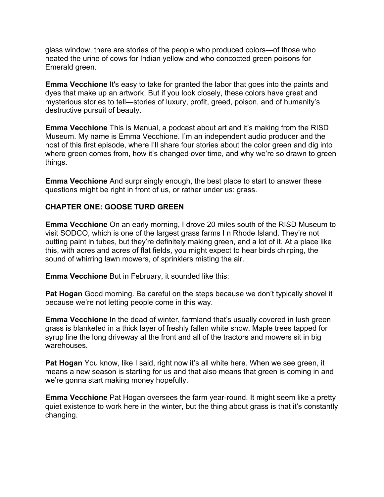glass window, there are stories of the people who produced colors—of those who heated the urine of cows for Indian yellow and who concocted green poisons for Emerald green.

**Emma Vecchione** It's easy to take for granted the labor that goes into the paints and dyes that make up an artwork. But if you look closely, these colors have great and mysterious stories to tell—stories of luxury, profit, greed, poison, and of humanity's destructive pursuit of beauty.

**Emma Vecchione** This is Manual, a podcast about art and it's making from the RISD Museum. My name is Emma Vecchione. I'm an independent audio producer and the host of this first episode, where I'll share four stories about the color green and dig into where green comes from, how it's changed over time, and why we're so drawn to green things.

**Emma Vecchione** And surprisingly enough, the best place to start to answer these questions might be right in front of us, or rather under us: grass.

### **CHAPTER ONE: GOOSE TURD GREEN**

**Emma Vecchione** On an early morning, I drove 20 miles south of the RISD Museum to visit SODCO, which is one of the largest grass farms I n Rhode Island. They're not putting paint in tubes, but they're definitely making green, and a lot of it. At a place like this, with acres and acres of flat fields, you might expect to hear birds chirping, the sound of whirring lawn mowers, of sprinklers misting the air.

**Emma Vecchione** But in February, it sounded like this:

**Pat Hogan** Good morning. Be careful on the steps because we don't typically shovel it because we're not letting people come in this way.

**Emma Vecchione** In the dead of winter, farmland that's usually covered in lush green grass is blanketed in a thick layer of freshly fallen white snow. Maple trees tapped for syrup line the long driveway at the front and all of the tractors and mowers sit in big warehouses.

**Pat Hogan** You know, like I said, right now it's all white here. When we see green, it means a new season is starting for us and that also means that green is coming in and we're gonna start making money hopefully.

**Emma Vecchione** Pat Hogan oversees the farm year-round. It might seem like a pretty quiet existence to work here in the winter, but the thing about grass is that it's constantly changing.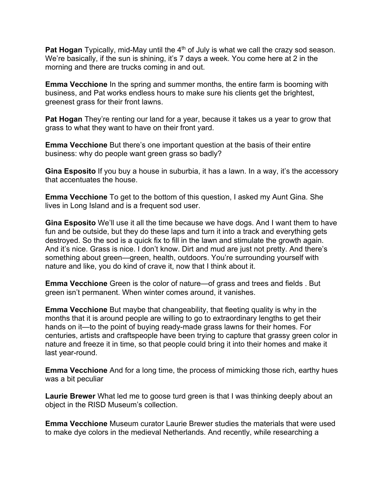Pat Hogan Typically, mid-May until the 4<sup>th</sup> of July is what we call the crazy sod season. We're basically, if the sun is shining, it's 7 days a week. You come here at 2 in the morning and there are trucks coming in and out.

**Emma Vecchione** In the spring and summer months, the entire farm is booming with business, and Pat works endless hours to make sure his clients get the brightest, greenest grass for their front lawns.

**Pat Hogan** They're renting our land for a year, because it takes us a year to grow that grass to what they want to have on their front yard.

**Emma Vecchione** But there's one important question at the basis of their entire business: why do people want green grass so badly?

**Gina Esposito** If you buy a house in suburbia, it has a lawn. In a way, it's the accessory that accentuates the house.

**Emma Vecchione** To get to the bottom of this question, I asked my Aunt Gina. She lives in Long Island and is a frequent sod user.

**Gina Esposito** We'll use it all the time because we have dogs. And I want them to have fun and be outside, but they do these laps and turn it into a track and everything gets destroyed. So the sod is a quick fix to fill in the lawn and stimulate the growth again. And it's nice. Grass is nice. I don't know. Dirt and mud are just not pretty. And there's something about green—green, health, outdoors. You're surrounding yourself with nature and like, you do kind of crave it, now that I think about it.

**Emma Vecchione** Green is the color of nature—of grass and trees and fields . But green isn't permanent. When winter comes around, it vanishes.

**Emma Vecchione** But maybe that changeability, that fleeting quality is why in the months that it is around people are willing to go to extraordinary lengths to get their hands on it—to the point of buying ready-made grass lawns for their homes. For centuries, artists and craftspeople have been trying to capture that grassy green color in nature and freeze it in time, so that people could bring it into their homes and make it last year-round.

**Emma Vecchione** And for a long time, the process of mimicking those rich, earthy hues was a bit peculiar

**Laurie Brewer** What led me to goose turd green is that I was thinking deeply about an object in the RISD Museum's collection.

**Emma Vecchione** Museum curator Laurie Brewer studies the materials that were used to make dye colors in the medieval Netherlands. And recently, while researching a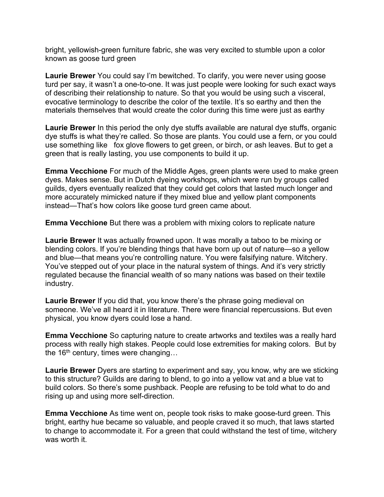bright, yellowish-green furniture fabric, she was very excited to stumble upon a color known as goose turd green

**Laurie Brewer** You could say I'm bewitched. To clarify, you were never using goose turd per say, it wasn't a one-to-one. It was just people were looking for such exact ways of describing their relationship to nature. So that you would be using such a visceral, evocative terminology to describe the color of the textile. It's so earthy and then the materials themselves that would create the color during this time were just as earthy

**Laurie Brewer** In this period the only dye stuffs available are natural dye stuffs, organic dye stuffs is what they're called. So those are plants. You could use a fern, or you could use something like fox glove flowers to get green, or birch, or ash leaves. But to get a green that is really lasting, you use components to build it up.

**Emma Vecchione** For much of the Middle Ages, green plants were used to make green dyes. Makes sense. But in Dutch dyeing workshops, which were run by groups called guilds, dyers eventually realized that they could get colors that lasted much longer and more accurately mimicked nature if they mixed blue and yellow plant components instead—That's how colors like goose turd green came about.

**Emma Vecchione** But there was a problem with mixing colors to replicate nature

**Laurie Brewer** It was actually frowned upon. It was morally a taboo to be mixing or blending colors. If you're blending things that have born up out of nature—so a yellow and blue—that means you're controlling nature. You were falsifying nature. Witchery. You've stepped out of your place in the natural system of things. And it's very strictly regulated because the financial wealth of so many nations was based on their textile industry.

**Laurie Brewer** If you did that, you know there's the phrase going medieval on someone. We've all heard it in literature. There were financial repercussions. But even physical, you know dyers could lose a hand.

**Emma Vecchione** So capturing nature to create artworks and textiles was a really hard process with really high stakes. People could lose extremities for making colors. But by the  $16<sup>th</sup>$  century, times were changing...

**Laurie Brewer** Dyers are starting to experiment and say, you know, why are we sticking to this structure? Guilds are daring to blend, to go into a yellow vat and a blue vat to build colors. So there's some pushback. People are refusing to be told what to do and rising up and using more self-direction.

**Emma Vecchione** As time went on, people took risks to make goose-turd green. This bright, earthy hue became so valuable, and people craved it so much, that laws started to change to accommodate it. For a green that could withstand the test of time, witchery was worth it.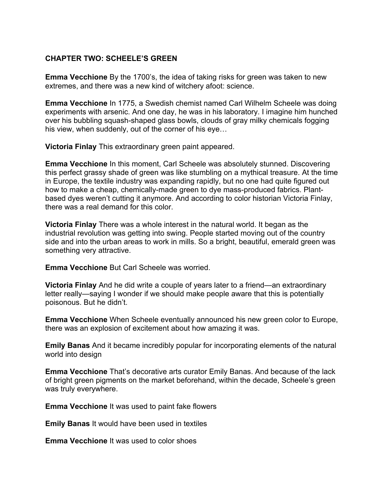## **CHAPTER TWO: SCHEELE'S GREEN**

**Emma Vecchione** By the 1700's, the idea of taking risks for green was taken to new extremes, and there was a new kind of witchery afoot: science.

**Emma Vecchione** In 1775, a Swedish chemist named Carl Wilhelm Scheele was doing experiments with arsenic. And one day, he was in his laboratory. I imagine him hunched over his bubbling squash-shaped glass bowls, clouds of gray milky chemicals fogging his view, when suddenly, out of the corner of his eye…

**Victoria Finlay** This extraordinary green paint appeared.

**Emma Vecchione** In this moment, Carl Scheele was absolutely stunned. Discovering this perfect grassy shade of green was like stumbling on a mythical treasure. At the time in Europe, the textile industry was expanding rapidly, but no one had quite figured out how to make a cheap, chemically-made green to dye mass-produced fabrics. Plantbased dyes weren't cutting it anymore. And according to color historian Victoria Finlay, there was a real demand for this color.

**Victoria Finlay** There was a whole interest in the natural world. It began as the industrial revolution was getting into swing. People started moving out of the country side and into the urban areas to work in mills. So a bright, beautiful, emerald green was something very attractive.

**Emma Vecchione** But Carl Scheele was worried.

**Victoria Finlay** And he did write a couple of years later to a friend—an extraordinary letter really—saying I wonder if we should make people aware that this is potentially poisonous. But he didn't.

**Emma Vecchione** When Scheele eventually announced his new green color to Europe, there was an explosion of excitement about how amazing it was.

**Emily Banas** And it became incredibly popular for incorporating elements of the natural world into design

**Emma Vecchione** That's decorative arts curator Emily Banas. And because of the lack of bright green pigments on the market beforehand, within the decade, Scheele's green was truly everywhere.

**Emma Vecchione** It was used to paint fake flowers

**Emily Banas** It would have been used in textiles

**Emma Vecchione** It was used to color shoes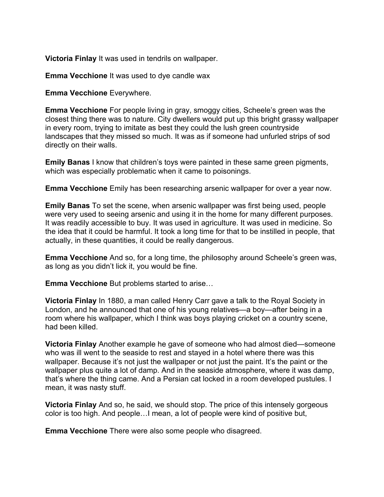**Victoria Finlay** It was used in tendrils on wallpaper.

**Emma Vecchione** It was used to dye candle wax

**Emma Vecchione** Everywhere.

**Emma Vecchione** For people living in gray, smoggy cities, Scheele's green was the closest thing there was to nature. City dwellers would put up this bright grassy wallpaper in every room, trying to imitate as best they could the lush green countryside landscapes that they missed so much. It was as if someone had unfurled strips of sod directly on their walls.

**Emily Banas** I know that children's toys were painted in these same green pigments, which was especially problematic when it came to poisonings.

**Emma Vecchione** Emily has been researching arsenic wallpaper for over a year now.

**Emily Banas** To set the scene, when arsenic wallpaper was first being used, people were very used to seeing arsenic and using it in the home for many different purposes. It was readily accessible to buy. It was used in agriculture. It was used in medicine. So the idea that it could be harmful. It took a long time for that to be instilled in people, that actually, in these quantities, it could be really dangerous.

**Emma Vecchione** And so, for a long time, the philosophy around Scheele's green was, as long as you didn't lick it, you would be fine.

**Emma Vecchione** But problems started to arise…

**Victoria Finlay** In 1880, a man called Henry Carr gave a talk to the Royal Society in London, and he announced that one of his young relatives—a boy—after being in a room where his wallpaper, which I think was boys playing cricket on a country scene, had been killed.

**Victoria Finlay** Another example he gave of someone who had almost died—someone who was ill went to the seaside to rest and stayed in a hotel where there was this wallpaper. Because it's not just the wallpaper or not just the paint. It's the paint or the wallpaper plus quite a lot of damp. And in the seaside atmosphere, where it was damp, that's where the thing came. And a Persian cat locked in a room developed pustules. I mean, it was nasty stuff.

**Victoria Finlay** And so, he said, we should stop. The price of this intensely gorgeous color is too high. And people…I mean, a lot of people were kind of positive but,

**Emma Vecchione** There were also some people who disagreed.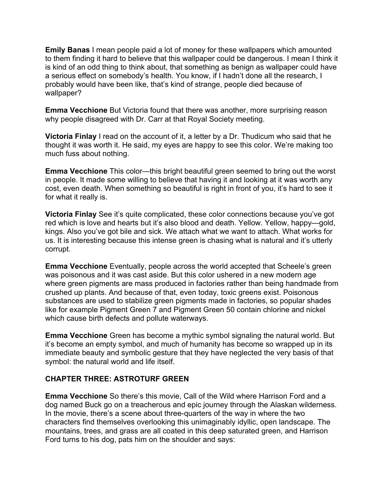**Emily Banas** I mean people paid a lot of money for these wallpapers which amounted to them finding it hard to believe that this wallpaper could be dangerous. I mean I think it is kind of an odd thing to think about, that something as benign as wallpaper could have a serious effect on somebody's health. You know, if I hadn't done all the research, I probably would have been like, that's kind of strange, people died because of wallpaper?

**Emma Vecchione** But Victoria found that there was another, more surprising reason why people disagreed with Dr. Carr at that Royal Society meeting.

**Victoria Finlay** I read on the account of it, a letter by a Dr. Thudicum who said that he thought it was worth it. He said, my eyes are happy to see this color. We're making too much fuss about nothing.

**Emma Vecchione** This color—this bright beautiful green seemed to bring out the worst in people. It made some willing to believe that having it and looking at it was worth any cost, even death. When something so beautiful is right in front of you, it's hard to see it for what it really is.

**Victoria Finlay** See it's quite complicated, these color connections because you've got red which is love and hearts but it's also blood and death. Yellow. Yellow, happy—gold, kings. Also you've got bile and sick. We attach what we want to attach. What works for us. It is interesting because this intense green is chasing what is natural and it's utterly corrupt.

**Emma Vecchione** Eventually, people across the world accepted that Scheele's green was poisonous and it was cast aside. But this color ushered in a new modern age where green pigments are mass produced in factories rather than being handmade from crushed up plants. And because of that, even today, toxic greens exist. Poisonous substances are used to stabilize green pigments made in factories, so popular shades like for example Pigment Green 7 and Pigment Green 50 contain chlorine and nickel which cause birth defects and pollute waterways.

**Emma Vecchione** Green has become a mythic symbol signaling the natural world. But it's become an empty symbol, and much of humanity has become so wrapped up in its immediate beauty and symbolic gesture that they have neglected the very basis of that symbol: the natural world and life itself.

# **CHAPTER THREE: ASTROTURF GREEN**

**Emma Vecchione** So there's this movie, Call of the Wild where Harrison Ford and a dog named Buck go on a treacherous and epic journey through the Alaskan wilderness. In the movie, there's a scene about three-quarters of the way in where the two characters find themselves overlooking this unimaginably idyllic, open landscape. The mountains, trees, and grass are all coated in this deep saturated green, and Harrison Ford turns to his dog, pats him on the shoulder and says: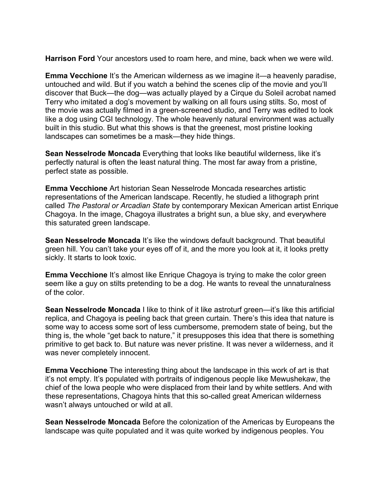**Harrison Ford** Your ancestors used to roam here, and mine, back when we were wild.

**Emma Vecchione** It's the American wilderness as we imagine it—a heavenly paradise, untouched and wild. But if you watch a behind the scenes clip of the movie and you'll discover that Buck—the dog—was actually played by a Cirque du Soleil acrobat named Terry who imitated a dog's movement by walking on all fours using stilts. So, most of the movie was actually filmed in a green-screened studio, and Terry was edited to look like a dog using CGI technology. The whole heavenly natural environment was actually built in this studio. But what this shows is that the greenest, most pristine looking landscapes can sometimes be a mask—they hide things.

**Sean Nesselrode Moncada** Everything that looks like beautiful wilderness, like it's perfectly natural is often the least natural thing. The most far away from a pristine, perfect state as possible.

**Emma Vecchione** Art historian Sean Nesselrode Moncada researches artistic representations of the American landscape. Recently, he studied a lithograph print called *The Pastoral or Arcadian State* by contemporary Mexican American artist Enrique Chagoya. In the image, Chagoya illustrates a bright sun, a blue sky, and everywhere this saturated green landscape.

**Sean Nesselrode Moncada** It's like the windows default background. That beautiful green hill. You can't take your eyes off of it, and the more you look at it, it looks pretty sickly. It starts to look toxic.

**Emma Vecchione** It's almost like Enrique Chagoya is trying to make the color green seem like a guy on stilts pretending to be a dog. He wants to reveal the unnaturalness of the color.

**Sean Nesselrode Moncada** I like to think of it like astroturf green—it's like this artificial replica, and Chagoya is peeling back that green curtain. There's this idea that nature is some way to access some sort of less cumbersome, premodern state of being, but the thing is, the whole "get back to nature," it presupposes this idea that there is something primitive to get back to. But nature was never pristine. It was never a wilderness, and it was never completely innocent.

**Emma Vecchione** The interesting thing about the landscape in this work of art is that it's not empty. It's populated with portraits of indigenous people like Mewushekaw, the chief of the Iowa people who were displaced from their land by white settlers. And with these representations, Chagoya hints that this so-called great American wilderness wasn't always untouched or wild at all.

**Sean Nesselrode Moncada** Before the colonization of the Americas by Europeans the landscape was quite populated and it was quite worked by indigenous peoples. You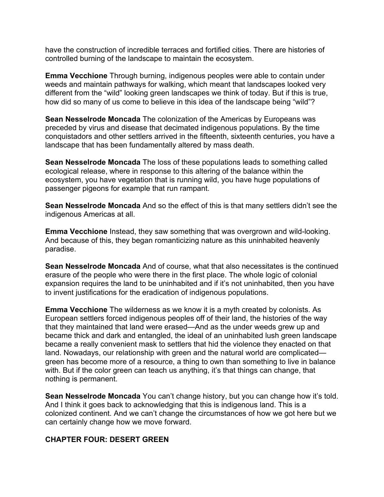have the construction of incredible terraces and fortified cities. There are histories of controlled burning of the landscape to maintain the ecosystem.

**Emma Vecchione** Through burning, indigenous peoples were able to contain under weeds and maintain pathways for walking, which meant that landscapes looked very different from the "wild" looking green landscapes we think of today. But if this is true, how did so many of us come to believe in this idea of the landscape being "wild"?

**Sean Nesselrode Moncada** The colonization of the Americas by Europeans was preceded by virus and disease that decimated indigenous populations. By the time conquistadors and other settlers arrived in the fifteenth, sixteenth centuries, you have a landscape that has been fundamentally altered by mass death.

**Sean Nesselrode Moncada** The loss of these populations leads to something called ecological release, where in response to this altering of the balance within the ecosystem, you have vegetation that is running wild, you have huge populations of passenger pigeons for example that run rampant.

**Sean Nesselrode Moncada** And so the effect of this is that many settlers didn't see the indigenous Americas at all.

**Emma Vecchione** Instead, they saw something that was overgrown and wild-looking. And because of this, they began romanticizing nature as this uninhabited heavenly paradise.

**Sean Nesselrode Moncada** And of course, what that also necessitates is the continued erasure of the people who were there in the first place. The whole logic of colonial expansion requires the land to be uninhabited and if it's not uninhabited, then you have to invent justifications for the eradication of indigenous populations.

**Emma Vecchione** The wilderness as we know it is a myth created by colonists. As European settlers forced indigenous peoples off of their land, the histories of the way that they maintained that land were erased—And as the under weeds grew up and became thick and dark and entangled, the ideal of an uninhabited lush green landscape became a really convenient mask to settlers that hid the violence they enacted on that land. Nowadays, our relationship with green and the natural world are complicated green has become more of a resource, a thing to own than something to live in balance with. But if the color green can teach us anything, it's that things can change, that nothing is permanent.

**Sean Nesselrode Moncada** You can't change history, but you can change how it's told. And I think it goes back to acknowledging that this is indigenous land. This is a colonized continent. And we can't change the circumstances of how we got here but we can certainly change how we move forward.

#### **CHAPTER FOUR: DESERT GREEN**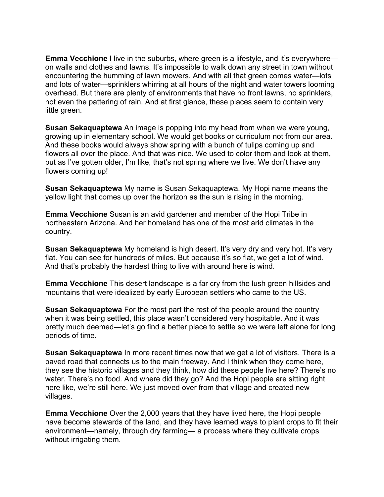**Emma Vecchione** I live in the suburbs, where green is a lifestyle, and it's everywhere on walls and clothes and lawns. It's impossible to walk down any street in town without encountering the humming of lawn mowers. And with all that green comes water—lots and lots of water—sprinklers whirring at all hours of the night and water towers looming overhead. But there are plenty of environments that have no front lawns, no sprinklers, not even the pattering of rain. And at first glance, these places seem to contain very little green.

**Susan Sekaquaptewa** An image is popping into my head from when we were young, growing up in elementary school. We would get books or curriculum not from our area. And these books would always show spring with a bunch of tulips coming up and flowers all over the place. And that was nice. We used to color them and look at them, but as I've gotten older, I'm like, that's not spring where we live. We don't have any flowers coming up!

**Susan Sekaquaptewa** My name is Susan Sekaquaptewa. My Hopi name means the yellow light that comes up over the horizon as the sun is rising in the morning.

**Emma Vecchione** Susan is an avid gardener and member of the Hopi Tribe in northeastern Arizona. And her homeland has one of the most arid climates in the country.

**Susan Sekaquaptewa** My homeland is high desert. It's very dry and very hot. It's very flat. You can see for hundreds of miles. But because it's so flat, we get a lot of wind. And that's probably the hardest thing to live with around here is wind.

**Emma Vecchione** This desert landscape is a far cry from the lush green hillsides and mountains that were idealized by early European settlers who came to the US.

**Susan Sekaquaptewa** For the most part the rest of the people around the country when it was being settled, this place wasn't considered very hospitable. And it was pretty much deemed—let's go find a better place to settle so we were left alone for long periods of time.

**Susan Sekaquaptewa** In more recent times now that we get a lot of visitors. There is a paved road that connects us to the main freeway. And I think when they come here, they see the historic villages and they think, how did these people live here? There's no water. There's no food. And where did they go? And the Hopi people are sitting right here like, we're still here. We just moved over from that village and created new villages.

**Emma Vecchione** Over the 2,000 years that they have lived here, the Hopi people have become stewards of the land, and they have learned ways to plant crops to fit their environment—namely, through dry farming— a process where they cultivate crops without irrigating them.